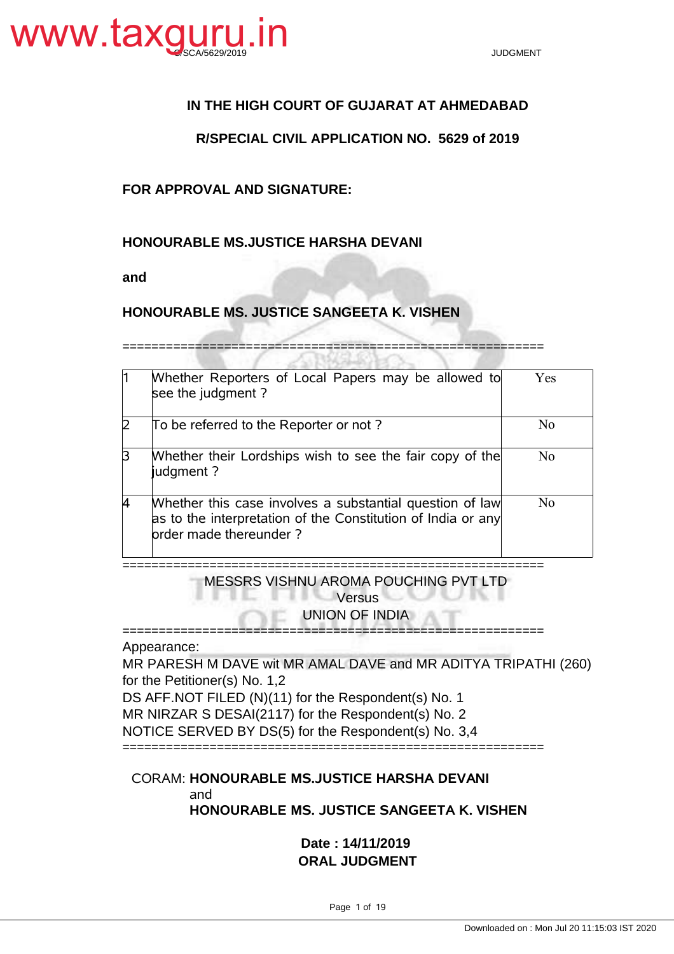

# **IN THE HIGH COURT OF GUJARAT AT AHMEDABAD**

## **R/SPECIAL CIVIL APPLICATION NO. 5629 of 2019**

## **FOR APPROVAL AND SIGNATURE:**

### **HONOURABLE MS.JUSTICE HARSHA DEVANI**

**and**

## **HONOURABLE MS. JUSTICE SANGEETA K. VISHEN**

==========================================================

|   | Whether Reporters of Local Papers may be allowed to<br>see the judgment?                                                                           | <b>Yes</b>     |
|---|----------------------------------------------------------------------------------------------------------------------------------------------------|----------------|
|   | To be referred to the Reporter or not?                                                                                                             | N <sub>0</sub> |
| B | Whether their Lordships wish to see the fair copy of the<br>judgment?                                                                              | N <sub>0</sub> |
|   | Whether this case involves a substantial question of law<br>as to the interpretation of the Constitution of India or any<br>order made thereunder? | N <sub>0</sub> |

========================================================== MESSRS VISHNU AROMA POUCHING PVT LTD

**Versus** 

UNION OF INDIA

==========================================================

Appearance:

MR PARESH M DAVE wit MR AMAL DAVE and MR ADITYA TRIPATHI (260) for the Petitioner(s) No. 1,2

DS AFF.NOT FILED (N)(11) for the Respondent(s) No. 1

MR NIRZAR S DESAI(2117) for the Respondent(s) No. 2

.

NOTICE SERVED BY DS(5) for the Respondent(s) No. 3,4

==========================================================

## CORAM: **HONOURABLE MS.JUSTICE HARSHA DEVANI** and **HONOURABLE MS. JUSTICE SANGEETA K. VISHEN**

**Date : 14/11/2019 ORAL JUDGMENT**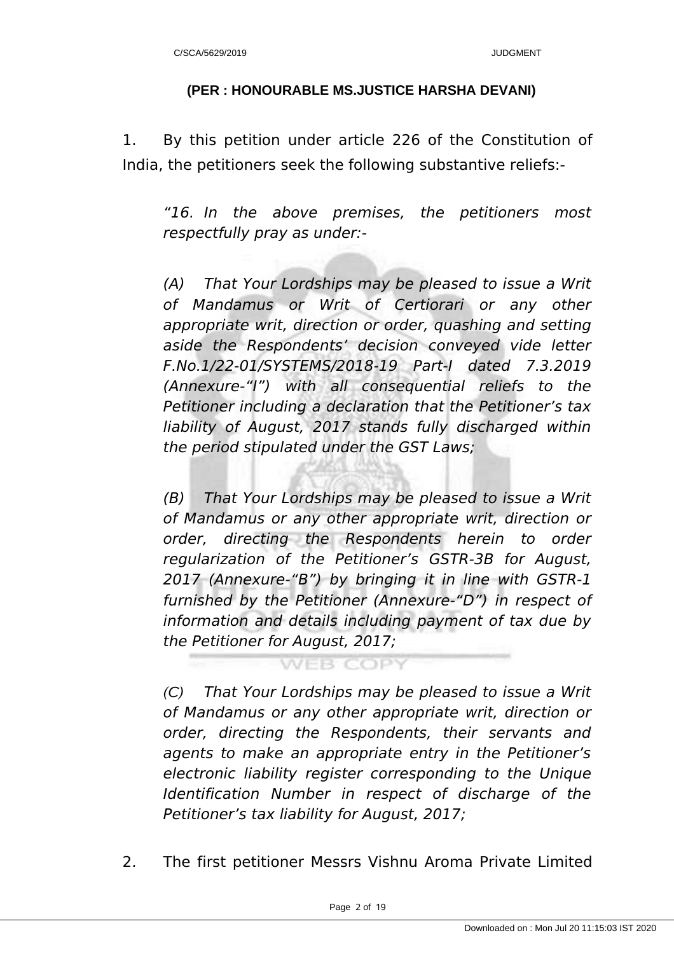# **(PER : HONOURABLE MS.JUSTICE HARSHA DEVANI)**

1. By this petition under article 226 of the Constitution of India, the petitioners seek the following substantive reliefs:-

"16. In the above premises, the petitioners most respectfully pray as under:-

(A) That Your Lordships may be pleased to issue a Writ of Mandamus or Writ of Certiorari or any other appropriate writ, direction or order, quashing and setting aside the Respondents' decision conveyed vide letter F.No.1/22-01/SYSTEMS/2018-19 Part-I dated 7.3.2019 (Annexure-"I") with all consequential reliefs to the Petitioner including a declaration that the Petitioner's tax liability of August, 2017 stands fully discharged within the period stipulated under the GST Laws;

(B) That Your Lordships may be pleased to issue a Writ of Mandamus or any other appropriate writ, direction or order, directing the Respondents herein to order regularization of the Petitioner's GSTR-3B for August, 2017 (Annexure-"B") by bringing it in line with GSTR-1 furnished by the Petitioner (Annexure-"D") in respect of information and details including payment of tax due by the Petitioner for August, 2017;

**WEB COPY** 

*(C)* That Your Lordships may be pleased to issue a Writ of Mandamus or any other appropriate writ, direction or order, directing the Respondents, their servants and agents to make an appropriate entry in the Petitioner's electronic liability register corresponding to the Unique Identification Number in respect of discharge of the Petitioner's tax liability for August, 2017;

2. The first petitioner Messrs Vishnu Aroma Private Limited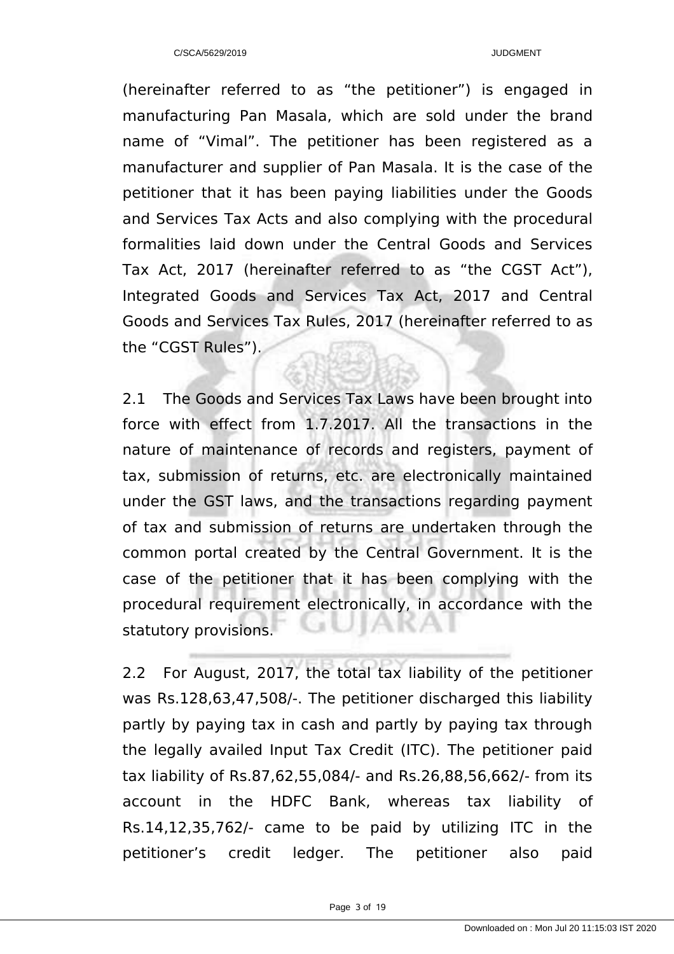(hereinafter referred to as "the petitioner") is engaged in manufacturing Pan Masala, which are sold under the brand name of "Vimal". The petitioner has been registered as a manufacturer and supplier of Pan Masala. It is the case of the petitioner that it has been paying liabilities under the Goods and Services Tax Acts and also complying with the procedural formalities laid down under the Central Goods and Services Tax Act, 2017 (hereinafter referred to as "the CGST Act"), Integrated Goods and Services Tax Act, 2017 and Central Goods and Services Tax Rules, 2017 (hereinafter referred to as the "CGST Rules").

2.1 The Goods and Services Tax Laws have been brought into force with effect from 1.7.2017. All the transactions in the nature of maintenance of records and registers, payment of tax, submission of returns, etc. are electronically maintained under the GST laws, and the transactions regarding payment of tax and submission of returns are undertaken through the common portal created by the Central Government. It is the case of the petitioner that it has been complying with the procedural requirement electronically, in accordance with the statutory provisions.

2.2 For August, 2017, the total tax liability of the petitioner was Rs.128,63,47,508/-. The petitioner discharged this liability partly by paying tax in cash and partly by paying tax through the legally availed Input Tax Credit (ITC). The petitioner paid tax liability of Rs.87,62,55,084/- and Rs.26,88,56,662/- from its account in the HDFC Bank, whereas tax liability of Rs.14,12,35,762/- came to be paid by utilizing ITC in the petitioner's credit ledger. The petitioner also paid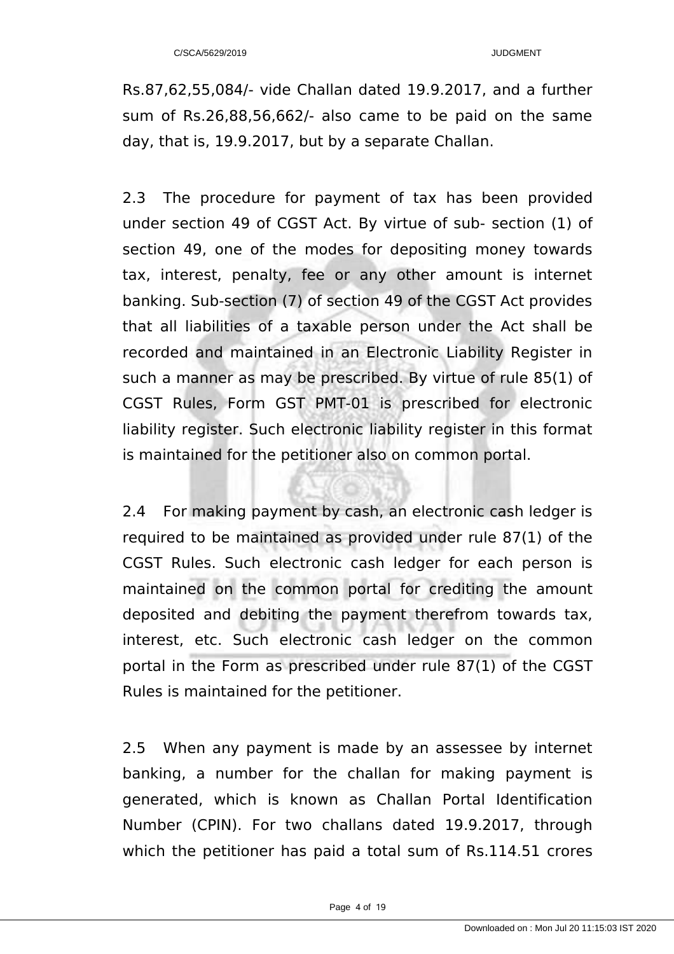Rs.87,62,55,084/- vide Challan dated 19.9.2017, and a further sum of Rs.26,88,56,662/- also came to be paid on the same day, that is, 19.9.2017, but by a separate Challan.

2.3 The procedure for payment of tax has been provided under section 49 of CGST Act. By virtue of sub- section (1) of section 49, one of the modes for depositing money towards tax, interest, penalty, fee or any other amount is internet banking. Sub-section (7) of section 49 of the CGST Act provides that all liabilities of a taxable person under the Act shall be recorded and maintained in an Electronic Liability Register in such a manner as may be prescribed. By virtue of rule 85(1) of CGST Rules, Form GST PMT-01 is prescribed for electronic liability register. Such electronic liability register in this format is maintained for the petitioner also on common portal.

2.4 For making payment by cash, an electronic cash ledger is required to be maintained as provided under rule 87(1) of the CGST Rules. Such electronic cash ledger for each person is maintained on the common portal for crediting the amount deposited and debiting the payment therefrom towards tax, interest, etc. Such electronic cash ledger on the common portal in the Form as prescribed under rule 87(1) of the CGST Rules is maintained for the petitioner.

2.5 When any payment is made by an assessee by internet banking, a number for the challan for making payment is generated, which is known as Challan Portal Identification Number (CPIN). For two challans dated 19.9.2017, through which the petitioner has paid a total sum of Rs.114.51 crores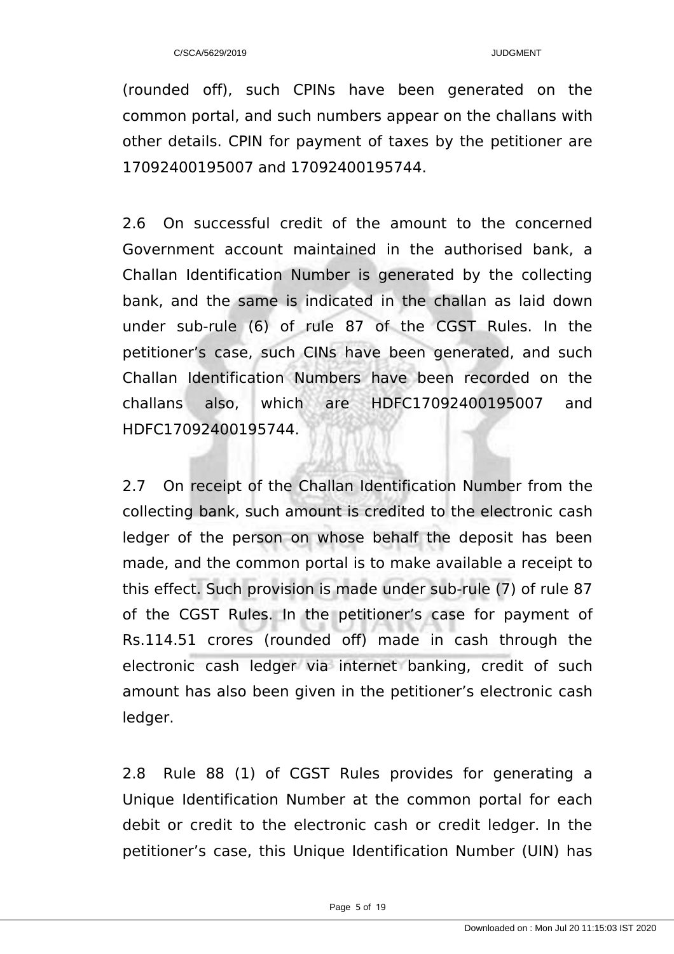(rounded off), such CPINs have been generated on the common portal, and such numbers appear on the challans with other details. CPIN for payment of taxes by the petitioner are 17092400195007 and 17092400195744.

2.6 On successful credit of the amount to the concerned Government account maintained in the authorised bank, a Challan Identification Number is generated by the collecting bank, and the same is indicated in the challan as laid down under sub-rule (6) of rule 87 of the CGST Rules. In the petitioner's case, such CINs have been generated, and such Challan Identification Numbers have been recorded on the challans also, which are HDFC17092400195007 and HDFC17092400195744.

2.7 On receipt of the Challan Identification Number from the collecting bank, such amount is credited to the electronic cash ledger of the person on whose behalf the deposit has been made, and the common portal is to make available a receipt to this effect. Such provision is made under sub-rule (7) of rule 87 of the CGST Rules. In the petitioner's case for payment of Rs.114.51 crores (rounded off) made in cash through the electronic cash ledger via internet banking, credit of such amount has also been given in the petitioner's electronic cash ledger.

2.8 Rule 88 (1) of CGST Rules provides for generating a Unique Identification Number at the common portal for each debit or credit to the electronic cash or credit ledger. In the petitioner's case, this Unique Identification Number (UIN) has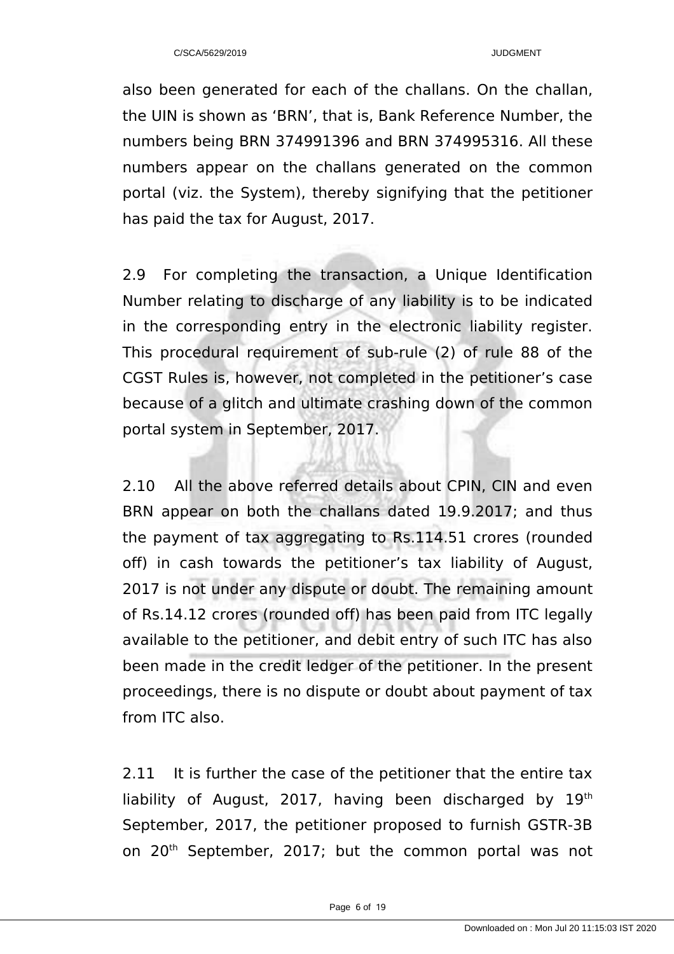also been generated for each of the challans. On the challan, the UIN is shown as 'BRN', that is, Bank Reference Number, the numbers being BRN 374991396 and BRN 374995316. All these numbers appear on the challans generated on the common portal (viz. the System), thereby signifying that the petitioner has paid the tax for August, 2017.

2.9 For completing the transaction, a Unique Identification Number relating to discharge of any liability is to be indicated in the corresponding entry in the electronic liability register. This procedural requirement of sub-rule (2) of rule 88 of the CGST Rules is, however, not completed in the petitioner's case because of a glitch and ultimate crashing down of the common portal system in September, 2017.

2.10 All the above referred details about CPIN, CIN and even BRN appear on both the challans dated 19.9.2017; and thus the payment of tax aggregating to Rs.114.51 crores (rounded off) in cash towards the petitioner's tax liability of August, 2017 is not under any dispute or doubt. The remaining amount of Rs.14.12 crores (rounded off) has been paid from ITC legally available to the petitioner, and debit entry of such ITC has also been made in the credit ledger of the petitioner. In the present proceedings, there is no dispute or doubt about payment of tax from ITC also.

2.11 It is further the case of the petitioner that the entire tax liability of August, 2017, having been discharged by  $19<sup>th</sup>$ September, 2017, the petitioner proposed to furnish GSTR-3B on 20<sup>th</sup> September, 2017; but the common portal was not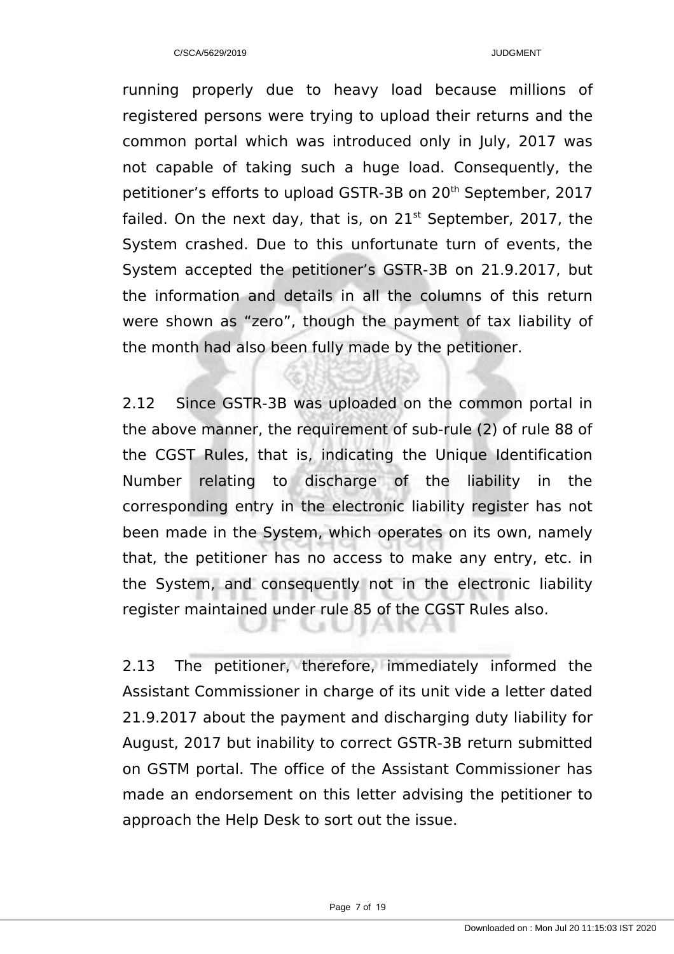running properly due to heavy load because millions of registered persons were trying to upload their returns and the common portal which was introduced only in July, 2017 was not capable of taking such a huge load. Consequently, the petitioner's efforts to upload GSTR-3B on 20<sup>th</sup> September, 2017 failed. On the next day, that is, on  $21<sup>st</sup>$  September, 2017, the System crashed. Due to this unfortunate turn of events, the System accepted the petitioner's GSTR-3B on 21.9.2017, but the information and details in all the columns of this return were shown as "zero", though the payment of tax liability of the month had also been fully made by the petitioner.

2.12 Since GSTR-3B was uploaded on the common portal in the above manner, the requirement of sub-rule (2) of rule 88 of the CGST Rules, that is, indicating the Unique Identification Number relating to discharge of the liability in the corresponding entry in the electronic liability register has not been made in the System, which operates on its own, namely that, the petitioner has no access to make any entry, etc. in the System, and consequently not in the electronic liability register maintained under rule 85 of the CGST Rules also.

2.13 The petitioner, therefore, immediately informed the Assistant Commissioner in charge of its unit vide a letter dated 21.9.2017 about the payment and discharging duty liability for August, 2017 but inability to correct GSTR-3B return submitted on GSTM portal. The office of the Assistant Commissioner has made an endorsement on this letter advising the petitioner to approach the Help Desk to sort out the issue.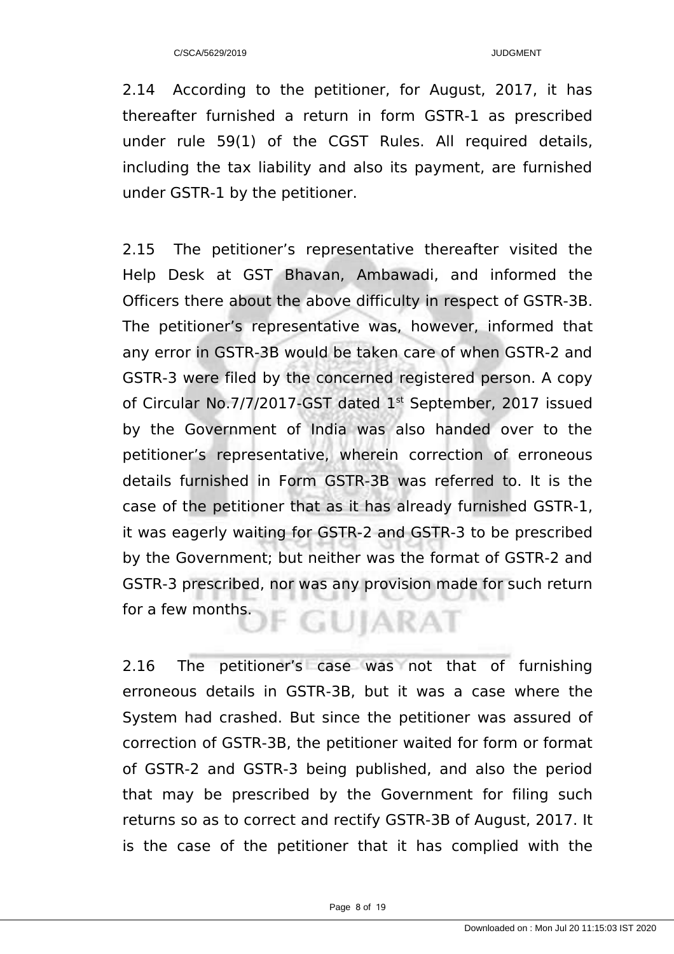2.14 According to the petitioner, for August, 2017, it has thereafter furnished a return in form GSTR-1 as prescribed under rule 59(1) of the CGST Rules. All required details, including the tax liability and also its payment, are furnished under GSTR-1 by the petitioner.

2.15 The petitioner's representative thereafter visited the Help Desk at GST Bhavan, Ambawadi, and informed the Officers there about the above difficulty in respect of GSTR-3B. The petitioner's representative was, however, informed that any error in GSTR-3B would be taken care of when GSTR-2 and GSTR-3 were filed by the concerned registered person. A copy of Circular No.7/7/2017-GST dated 1<sup>st</sup> September, 2017 issued by the Government of India was also handed over to the petitioner's representative, wherein correction of erroneous details furnished in Form GSTR-3B was referred to. It is the case of the petitioner that as it has already furnished GSTR-1, it was eagerly waiting for GSTR-2 and GSTR-3 to be prescribed by the Government; but neither was the format of GSTR-2 and GSTR-3 prescribed, nor was any provision made for such return for a few months. **GUIARAT** 

2.16 The petitioner's case was not that of furnishing erroneous details in GSTR-3B, but it was a case where the System had crashed. But since the petitioner was assured of correction of GSTR-3B, the petitioner waited for form or format of GSTR-2 and GSTR-3 being published, and also the period that may be prescribed by the Government for filing such returns so as to correct and rectify GSTR-3B of August, 2017. It is the case of the petitioner that it has complied with the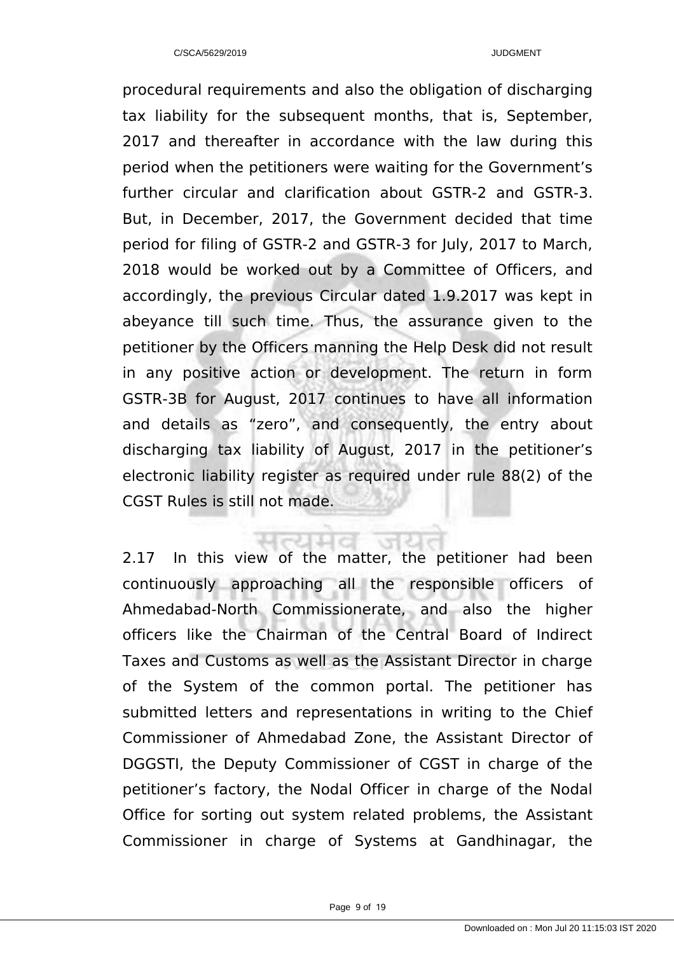procedural requirements and also the obligation of discharging tax liability for the subsequent months, that is, September, 2017 and thereafter in accordance with the law during this period when the petitioners were waiting for the Government's further circular and clarification about GSTR-2 and GSTR-3. But, in December, 2017, the Government decided that time period for filing of GSTR-2 and GSTR-3 for July, 2017 to March, 2018 would be worked out by a Committee of Officers, and accordingly, the previous Circular dated 1.9.2017 was kept in abeyance till such time. Thus, the assurance given to the petitioner by the Officers manning the Help Desk did not result in any positive action or development. The return in form GSTR-3B for August, 2017 continues to have all information and details as "zero", and consequently, the entry about discharging tax liability of August, 2017 in the petitioner's electronic liability register as required under rule 88(2) of the CGST Rules is still not made.

2.17 In this view of the matter, the petitioner had been continuously approaching all the responsible officers of Ahmedabad-North Commissionerate, and also the higher officers like the Chairman of the Central Board of Indirect Taxes and Customs as well as the Assistant Director in charge of the System of the common portal. The petitioner has submitted letters and representations in writing to the Chief Commissioner of Ahmedabad Zone, the Assistant Director of DGGSTI, the Deputy Commissioner of CGST in charge of the petitioner's factory, the Nodal Officer in charge of the Nodal Office for sorting out system related problems, the Assistant Commissioner in charge of Systems at Gandhinagar, the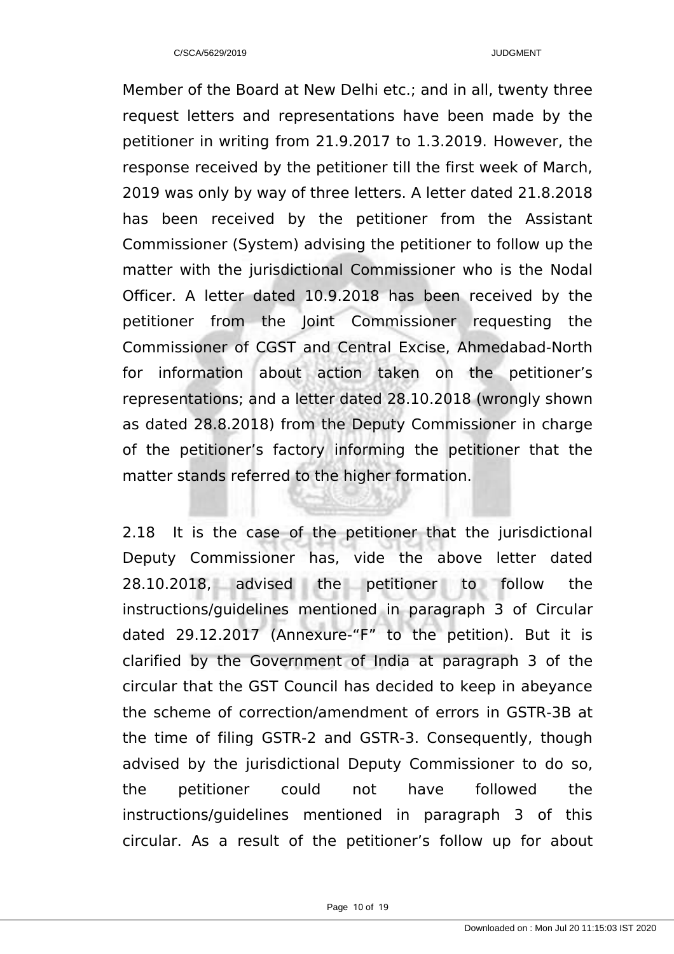Member of the Board at New Delhi etc.; and in all, twenty three request letters and representations have been made by the petitioner in writing from 21.9.2017 to 1.3.2019. However, the response received by the petitioner till the first week of March, 2019 was only by way of three letters. A letter dated 21.8.2018 has been received by the petitioner from the Assistant Commissioner (System) advising the petitioner to follow up the matter with the jurisdictional Commissioner who is the Nodal Officer. A letter dated 10.9.2018 has been received by the petitioner from the Joint Commissioner requesting the Commissioner of CGST and Central Excise, Ahmedabad-North for information about action taken on the petitioner's representations; and a letter dated 28.10.2018 (wrongly shown as dated 28.8.2018) from the Deputy Commissioner in charge of the petitioner's factory informing the petitioner that the matter stands referred to the higher formation.

2.18 It is the case of the petitioner that the jurisdictional Deputy Commissioner has, vide the above letter dated 28.10.2018, advised the petitioner to follow the instructions/guidelines mentioned in paragraph 3 of Circular dated 29.12.2017 (Annexure-"F" to the petition). But it is clarified by the Government of India at paragraph 3 of the circular that the GST Council has decided to keep in abeyance the scheme of correction/amendment of errors in GSTR-3B at the time of filing GSTR-2 and GSTR-3. Consequently, though advised by the jurisdictional Deputy Commissioner to do so, the petitioner could not have followed the instructions/guidelines mentioned in paragraph 3 of this circular. As a result of the petitioner's follow up for about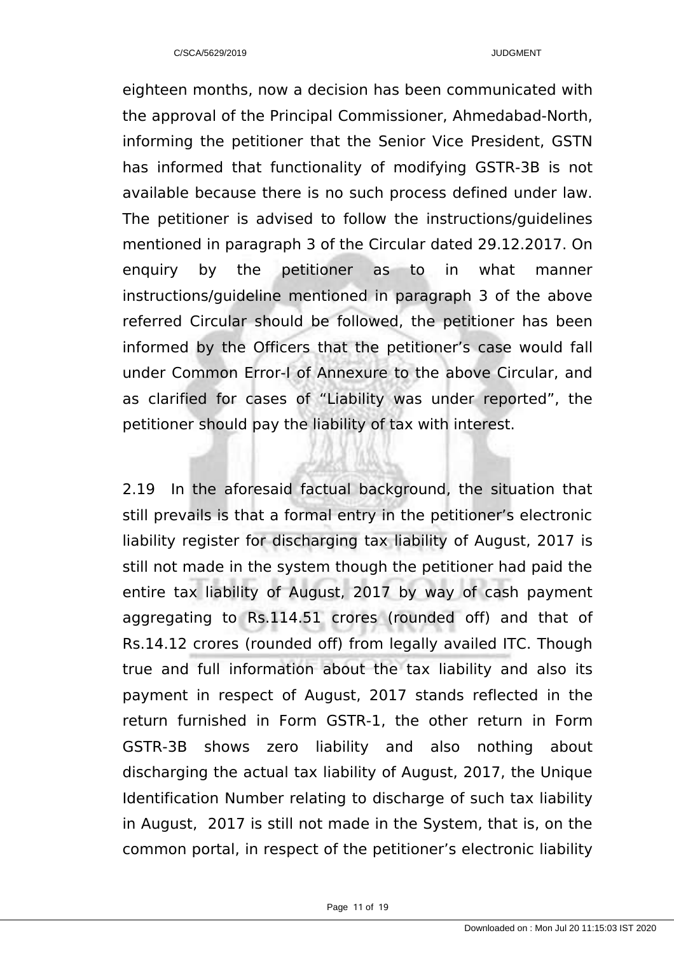eighteen months, now a decision has been communicated with the approval of the Principal Commissioner, Ahmedabad-North, informing the petitioner that the Senior Vice President, GSTN has informed that functionality of modifying GSTR-3B is not available because there is no such process defined under law. The petitioner is advised to follow the instructions/guidelines mentioned in paragraph 3 of the Circular dated 29.12.2017. On enquiry by the petitioner as to in what manner instructions/guideline mentioned in paragraph 3 of the above referred Circular should be followed, the petitioner has been informed by the Officers that the petitioner's case would fall under Common Error-I of Annexure to the above Circular, and as clarified for cases of "Liability was under reported", the petitioner should pay the liability of tax with interest.

2.19 In the aforesaid factual background, the situation that still prevails is that a formal entry in the petitioner's electronic liability register for discharging tax liability of August, 2017 is still not made in the system though the petitioner had paid the entire tax liability of August, 2017 by way of cash payment aggregating to Rs.114.51 crores (rounded off) and that of Rs.14.12 crores (rounded off) from legally availed ITC. Though true and full information about the tax liability and also its payment in respect of August, 2017 stands reflected in the return furnished in Form GSTR-1, the other return in Form GSTR-3B shows zero liability and also nothing about discharging the actual tax liability of August, 2017, the Unique Identification Number relating to discharge of such tax liability in August, 2017 is still not made in the System, that is, on the common portal, in respect of the petitioner's electronic liability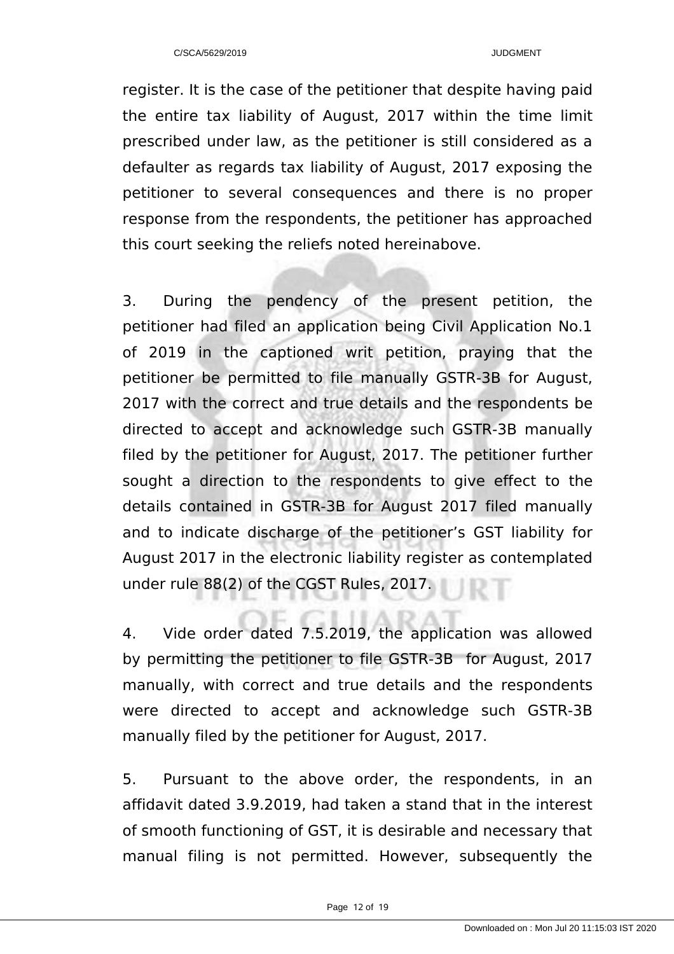register. It is the case of the petitioner that despite having paid the entire tax liability of August, 2017 within the time limit prescribed under law, as the petitioner is still considered as a defaulter as regards tax liability of August, 2017 exposing the petitioner to several consequences and there is no proper response from the respondents, the petitioner has approached this court seeking the reliefs noted hereinabove.

3. During the pendency of the present petition, the petitioner had filed an application being Civil Application No.1 of 2019 in the captioned writ petition, praying that the petitioner be permitted to file manually GSTR-3B for August, 2017 with the correct and true details and the respondents be directed to accept and acknowledge such GSTR-3B manually filed by the petitioner for August, 2017. The petitioner further sought a direction to the respondents to give effect to the details contained in GSTR-3B for August 2017 filed manually and to indicate discharge of the petitioner's GST liability for August 2017 in the electronic liability register as contemplated under rule 88(2) of the CGST Rules, 2017.

4. Vide order dated 7.5.2019, the application was allowed by permitting the petitioner to file GSTR-3B for August, 2017 manually, with correct and true details and the respondents were directed to accept and acknowledge such GSTR-3B manually filed by the petitioner for August, 2017.

5. Pursuant to the above order, the respondents, in an affidavit dated 3.9.2019, had taken a stand that in the interest of smooth functioning of GST, it is desirable and necessary that manual filing is not permitted. However, subsequently the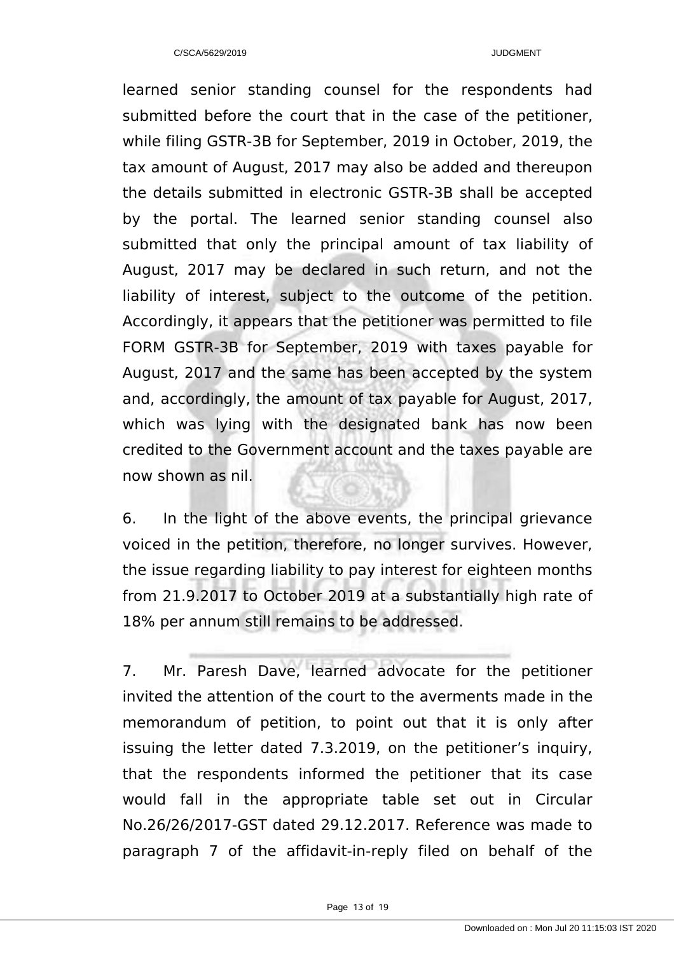learned senior standing counsel for the respondents had submitted before the court that in the case of the petitioner, while filing GSTR-3B for September, 2019 in October, 2019, the tax amount of August, 2017 may also be added and thereupon the details submitted in electronic GSTR-3B shall be accepted by the portal. The learned senior standing counsel also submitted that only the principal amount of tax liability of August, 2017 may be declared in such return, and not the liability of interest, subject to the outcome of the petition. Accordingly, it appears that the petitioner was permitted to file FORM GSTR-3B for September, 2019 with taxes payable for August, 2017 and the same has been accepted by the system and, accordingly, the amount of tax payable for August, 2017, which was lying with the designated bank has now been credited to the Government account and the taxes payable are now shown as nil.

6. In the light of the above events, the principal grievance voiced in the petition, therefore, no longer survives. However, the issue regarding liability to pay interest for eighteen months from 21.9.2017 to October 2019 at a substantially high rate of 18% per annum still remains to be addressed.

7. Mr. Paresh Dave, learned advocate for the petitioner invited the attention of the court to the averments made in the memorandum of petition, to point out that it is only after issuing the letter dated 7.3.2019, on the petitioner's inquiry, that the respondents informed the petitioner that its case would fall in the appropriate table set out in Circular No.26/26/2017-GST dated 29.12.2017. Reference was made to paragraph 7 of the affidavit-in-reply filed on behalf of the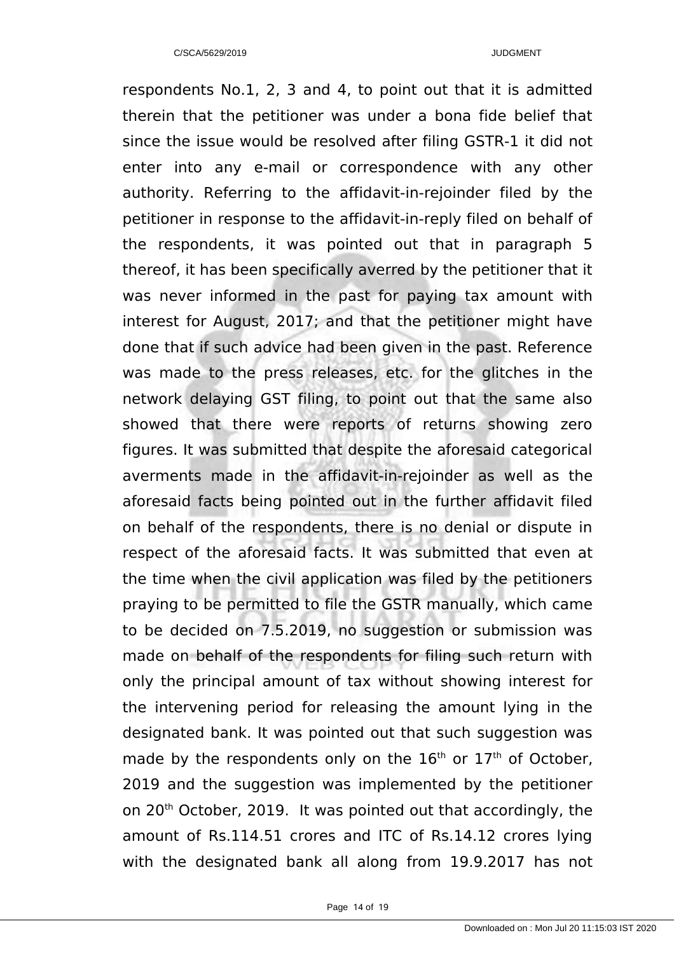respondents No.1, 2, 3 and 4, to point out that it is admitted therein that the petitioner was under a bona fide belief that since the issue would be resolved after filing GSTR-1 it did not enter into any e-mail or correspondence with any other authority. Referring to the affidavit-in-rejoinder filed by the petitioner in response to the affidavit-in-reply filed on behalf of the respondents, it was pointed out that in paragraph 5 thereof, it has been specifically averred by the petitioner that it was never informed in the past for paying tax amount with interest for August, 2017; and that the petitioner might have done that if such advice had been given in the past. Reference was made to the press releases, etc. for the glitches in the network delaying GST filing, to point out that the same also showed that there were reports of returns showing zero figures. It was submitted that despite the aforesaid categorical averments made in the affidavit-in-rejoinder as well as the aforesaid facts being pointed out in the further affidavit filed on behalf of the respondents, there is no denial or dispute in respect of the aforesaid facts. It was submitted that even at the time when the civil application was filed by the petitioners praying to be permitted to file the GSTR manually, which came to be decided on 7.5.2019, no suggestion or submission was made on behalf of the respondents for filing such return with only the principal amount of tax without showing interest for the intervening period for releasing the amount lying in the designated bank. It was pointed out that such suggestion was made by the respondents only on the  $16<sup>th</sup>$  or  $17<sup>th</sup>$  of October, 2019 and the suggestion was implemented by the petitioner on 20<sup>th</sup> October, 2019. It was pointed out that accordingly, the amount of Rs.114.51 crores and ITC of Rs.14.12 crores lying with the designated bank all along from 19.9.2017 has not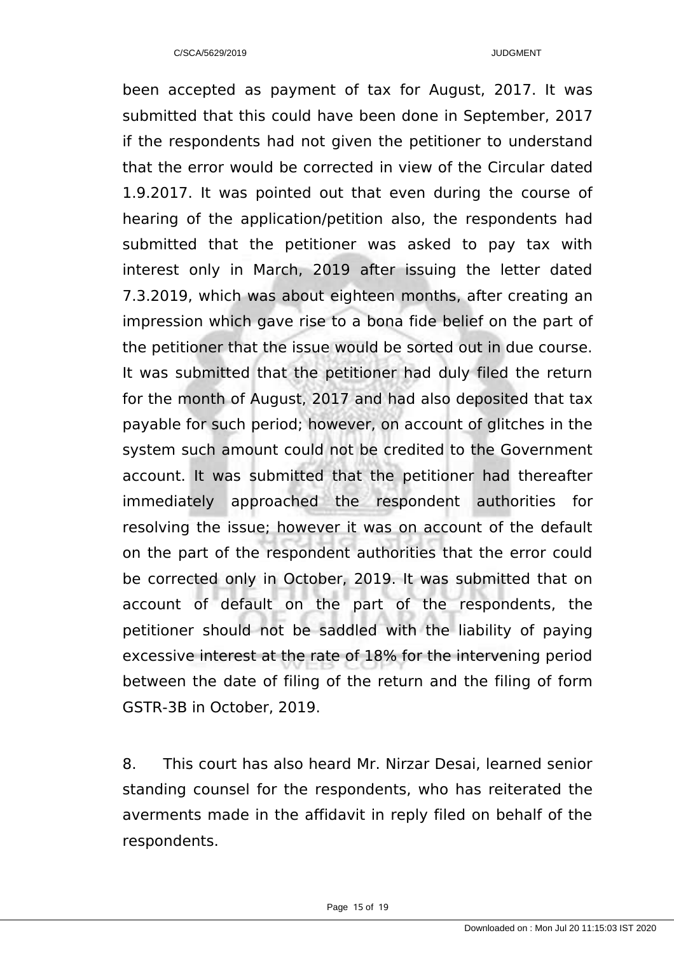been accepted as payment of tax for August, 2017. It was submitted that this could have been done in September, 2017 if the respondents had not given the petitioner to understand that the error would be corrected in view of the Circular dated 1.9.2017. It was pointed out that even during the course of hearing of the application/petition also, the respondents had submitted that the petitioner was asked to pay tax with interest only in March, 2019 after issuing the letter dated 7.3.2019, which was about eighteen months, after creating an impression which gave rise to a bona fide belief on the part of the petitioner that the issue would be sorted out in due course. It was submitted that the petitioner had duly filed the return for the month of August, 2017 and had also deposited that tax payable for such period; however, on account of glitches in the system such amount could not be credited to the Government account. It was submitted that the petitioner had thereafter immediately approached the respondent authorities for resolving the issue; however it was on account of the default on the part of the respondent authorities that the error could be corrected only in October, 2019. It was submitted that on account of default on the part of the respondents, the petitioner should not be saddled with the liability of paying excessive interest at the rate of 18% for the intervening period between the date of filing of the return and the filing of form GSTR-3B in October, 2019.

8. This court has also heard Mr. Nirzar Desai, learned senior standing counsel for the respondents, who has reiterated the averments made in the affidavit in reply filed on behalf of the respondents.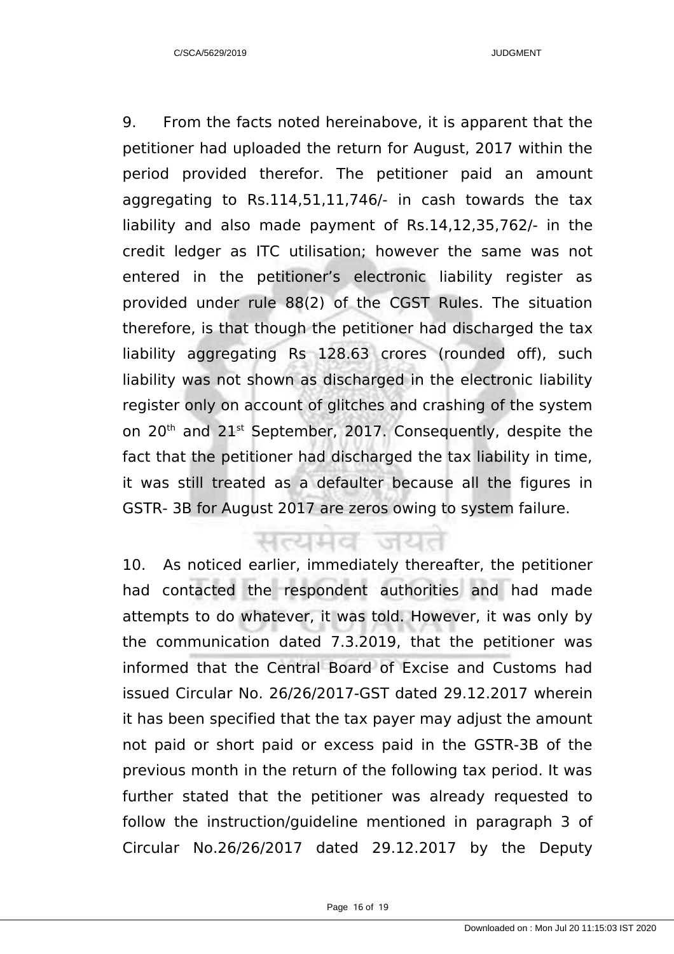9. From the facts noted hereinabove, it is apparent that the petitioner had uploaded the return for August, 2017 within the period provided therefor. The petitioner paid an amount aggregating to Rs.114,51,11,746/- in cash towards the tax liability and also made payment of Rs.14,12,35,762/- in the credit ledger as ITC utilisation; however the same was not entered in the petitioner's electronic liability register as provided under rule 88(2) of the CGST Rules. The situation therefore, is that though the petitioner had discharged the tax liability aggregating Rs 128.63 crores (rounded off), such liability was not shown as discharged in the electronic liability register only on account of glitches and crashing of the system on 20<sup>th</sup> and 21<sup>st</sup> September, 2017. Consequently, despite the fact that the petitioner had discharged the tax liability in time, it was still treated as a defaulter because all the figures in GSTR- 3B for August 2017 are zeros owing to system failure.

and ak

10. As noticed earlier, immediately thereafter, the petitioner had contacted the respondent authorities and had made attempts to do whatever, it was told. However, it was only by the communication dated 7.3.2019, that the petitioner was informed that the Central Board of Excise and Customs had issued Circular No. 26/26/2017-GST dated 29.12.2017 wherein it has been specified that the tax payer may adjust the amount not paid or short paid or excess paid in the GSTR-3B of the previous month in the return of the following tax period. It was further stated that the petitioner was already requested to follow the instruction/guideline mentioned in paragraph 3 of Circular No.26/26/2017 dated 29.12.2017 by the Deputy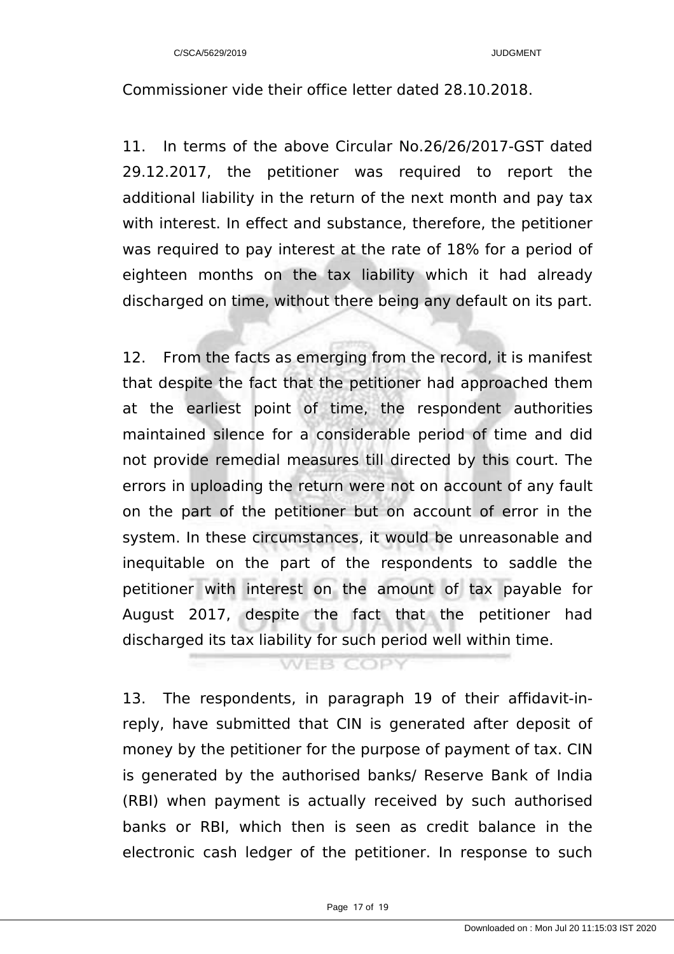Commissioner vide their office letter dated 28.10.2018.

11. In terms of the above Circular No.26/26/2017-GST dated 29.12.2017, the petitioner was required to report the additional liability in the return of the next month and pay tax with interest. In effect and substance, therefore, the petitioner was required to pay interest at the rate of 18% for a period of eighteen months on the tax liability which it had already discharged on time, without there being any default on its part.

12. From the facts as emerging from the record, it is manifest that despite the fact that the petitioner had approached them at the earliest point of time, the respondent authorities maintained silence for a considerable period of time and did not provide remedial measures till directed by this court. The errors in uploading the return were not on account of any fault on the part of the petitioner but on account of error in the system. In these circumstances, it would be unreasonable and inequitable on the part of the respondents to saddle the petitioner with interest on the amount of tax payable for August 2017, despite the fact that the petitioner had discharged its tax liability for such period well within time.

#### **WEB COPY**

13. The respondents, in paragraph 19 of their affidavit-inreply, have submitted that CIN is generated after deposit of money by the petitioner for the purpose of payment of tax. CIN is generated by the authorised banks/ Reserve Bank of India (RBI) when payment is actually received by such authorised banks or RBI, which then is seen as credit balance in the electronic cash ledger of the petitioner. In response to such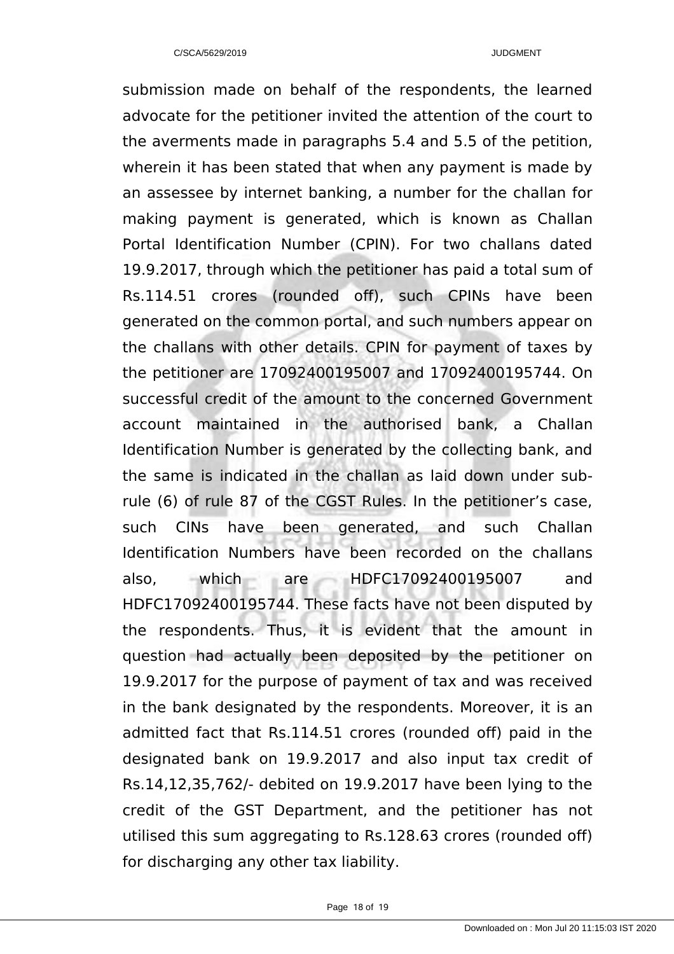submission made on behalf of the respondents, the learned advocate for the petitioner invited the attention of the court to the averments made in paragraphs 5.4 and 5.5 of the petition, wherein it has been stated that when any payment is made by an assessee by internet banking, a number for the challan for making payment is generated, which is known as Challan Portal Identification Number (CPIN). For two challans dated 19.9.2017, through which the petitioner has paid a total sum of Rs.114.51 crores (rounded off), such CPINs have been generated on the common portal, and such numbers appear on the challans with other details. CPIN for payment of taxes by the petitioner are 17092400195007 and 17092400195744. On successful credit of the amount to the concerned Government account maintained in the authorised bank, a Challan Identification Number is generated by the collecting bank, and the same is indicated in the challan as laid down under subrule (6) of rule 87 of the CGST Rules. In the petitioner's case, such CINs have been generated, and such Challan Identification Numbers have been recorded on the challans also, which are HDFC17092400195007 and HDFC17092400195744. These facts have not been disputed by the respondents. Thus, it is evident that the amount in question had actually been deposited by the petitioner on 19.9.2017 for the purpose of payment of tax and was received in the bank designated by the respondents. Moreover, it is an admitted fact that Rs.114.51 crores (rounded off) paid in the designated bank on 19.9.2017 and also input tax credit of Rs.14,12,35,762/- debited on 19.9.2017 have been lying to the credit of the GST Department, and the petitioner has not utilised this sum aggregating to Rs.128.63 crores (rounded off) for discharging any other tax liability.

Page 18 of 19